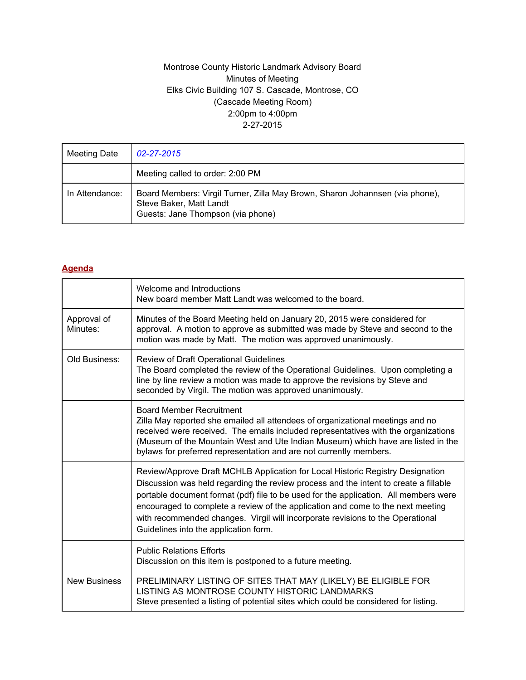## Montrose County Historic Landmark Advisory Board Minutes of Meeting Elks Civic Building 107 S. Cascade, Montrose, CO (Cascade Meeting Room) 2:00pm to 4:00pm 2-27-2015

| Meeting Date   | 02-27-2015                                                                                                                                   |
|----------------|----------------------------------------------------------------------------------------------------------------------------------------------|
|                | Meeting called to order: 2:00 PM                                                                                                             |
| In Attendance: | Board Members: Virgil Turner, Zilla May Brown, Sharon Johannsen (via phone),<br>Steve Baker, Matt Landt<br>Guests: Jane Thompson (via phone) |

## **Agenda**

|                         | Welcome and Introductions<br>New board member Matt Landt was welcomed to the board.                                                                                                                                                                                                                                                                                                                                                                                          |  |  |  |  |
|-------------------------|------------------------------------------------------------------------------------------------------------------------------------------------------------------------------------------------------------------------------------------------------------------------------------------------------------------------------------------------------------------------------------------------------------------------------------------------------------------------------|--|--|--|--|
| Approval of<br>Minutes: | Minutes of the Board Meeting held on January 20, 2015 were considered for<br>approval. A motion to approve as submitted was made by Steve and second to the<br>motion was made by Matt. The motion was approved unanimously.                                                                                                                                                                                                                                                 |  |  |  |  |
| Old Business:           | Review of Draft Operational Guidelines<br>The Board completed the review of the Operational Guidelines. Upon completing a<br>line by line review a motion was made to approve the revisions by Steve and<br>seconded by Virgil. The motion was approved unanimously.                                                                                                                                                                                                         |  |  |  |  |
|                         | <b>Board Member Recruitment</b><br>Zilla May reported she emailed all attendees of organizational meetings and no<br>received were received. The emails included representatives with the organizations<br>(Museum of the Mountain West and Ute Indian Museum) which have are listed in the<br>bylaws for preferred representation and are not currently members.                                                                                                            |  |  |  |  |
|                         | Review/Approve Draft MCHLB Application for Local Historic Registry Designation<br>Discussion was held regarding the review process and the intent to create a fillable<br>portable document format (pdf) file to be used for the application. All members were<br>encouraged to complete a review of the application and come to the next meeting<br>with recommended changes. Virgil will incorporate revisions to the Operational<br>Guidelines into the application form. |  |  |  |  |
|                         | <b>Public Relations Efforts</b><br>Discussion on this item is postponed to a future meeting.                                                                                                                                                                                                                                                                                                                                                                                 |  |  |  |  |
| <b>New Business</b>     | PRELIMINARY LISTING OF SITES THAT MAY (LIKELY) BE ELIGIBLE FOR<br>LISTING AS MONTROSE COUNTY HISTORIC LANDMARKS<br>Steve presented a listing of potential sites which could be considered for listing.                                                                                                                                                                                                                                                                       |  |  |  |  |